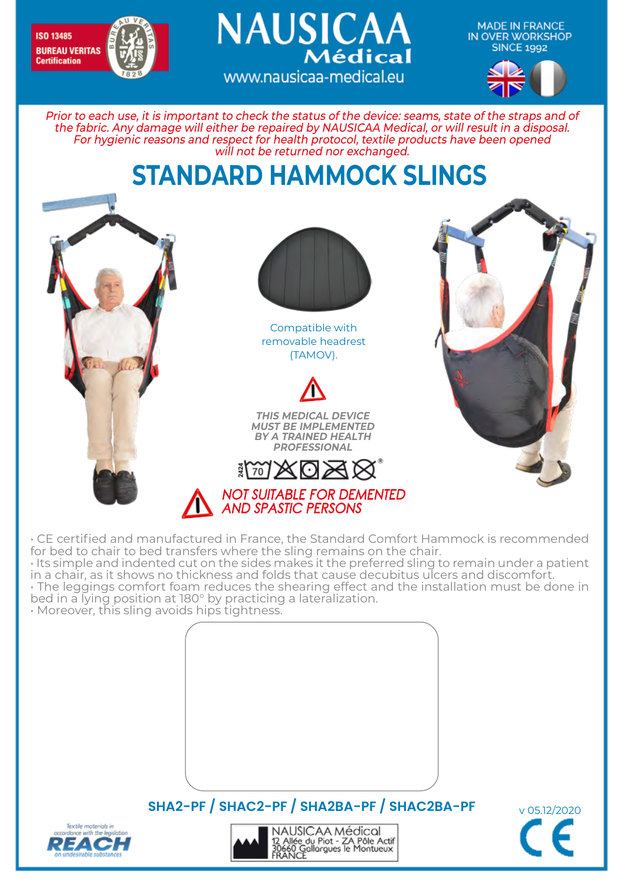

**MADE IN FRANCE** IN OVER WORKSHOP **SINCE 1992** 



Prior to each use, it is important to check the status of the device: seams, state of the straps and of the fabric. Any damage will either be repaired by NAUSICAA Medical, or will result in a disposal. For hygienic reasons and respect for health protocol, textile products have been opened will not be returned nor exchanged.

www.nausicaa-medical.eu

**NAUSICAA** 

Médical

## **STANDARD HAMMOCK SLINGS**



• CE certified and manufactured in France, the Standard Comfort Hammock is recommended for bed to chair to bed transfers where the sling remains on the chair.

• Its simple and indented cut on the sides makes it the preferred sling to remain under a patient in a chair, as it shows no thickness and folds that cause decubitus ulcers and discomfort. • The leggings comfort foam reduces the shearing effect and the installation must be done in

bed in a lying position at 180° by practicing a lateralization.

• Moreover, this sling avoids hips tightness.



**SHA2-PF / SHAC2-PF / SHA2BA-PF / SHAC2BA-PF** v 05.12/2020